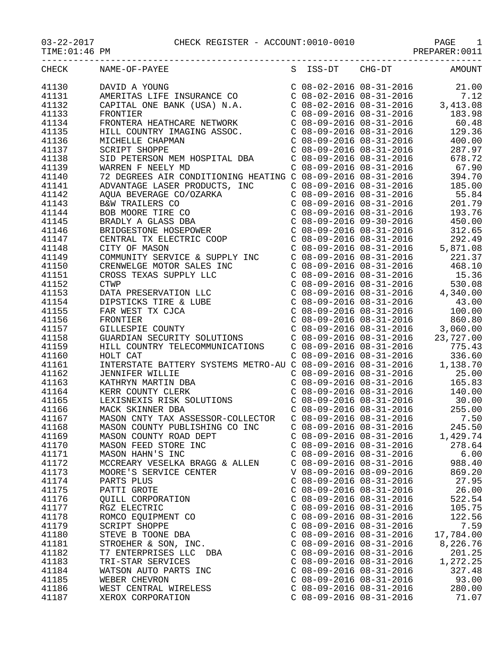TIME:01:46 PM PREPARER:0011

| CHECK | NAME-OF-PAYEE<br>NAME-UF-FAILL<br>DAVID A YOUNG<br>AMERITAS LIFE INSURANCE CO<br>CAPITAL ONE BANK (USA) N.A. |                           | S ISS-DT CHG-DT | AMOUNT                                                                                                                                                                                                                           |
|-------|--------------------------------------------------------------------------------------------------------------|---------------------------|-----------------|----------------------------------------------------------------------------------------------------------------------------------------------------------------------------------------------------------------------------------|
| 41130 |                                                                                                              |                           |                 | $\begin{array}{llll} \mbox{C} & 08\!-\!02\!-\!2016 & 08\!-\!31\!-\!2016 & & 21.00 \\ \mbox{C} & 08\!-\!02\!-\!2016 & 08\!-\!31\!-\!2016 & & 7.12 \\ \mbox{C} & 08\!-\!02\!-\!2016 & 08\!-\!31\!-\!2016 & & 3,413.08 \end{array}$ |
| 41131 |                                                                                                              |                           |                 |                                                                                                                                                                                                                                  |
| 41132 |                                                                                                              |                           |                 |                                                                                                                                                                                                                                  |
| 41133 |                                                                                                              |                           |                 |                                                                                                                                                                                                                                  |
| 41134 |                                                                                                              |                           |                 |                                                                                                                                                                                                                                  |
| 41135 |                                                                                                              |                           |                 |                                                                                                                                                                                                                                  |
| 41136 |                                                                                                              |                           |                 |                                                                                                                                                                                                                                  |
| 41137 |                                                                                                              |                           |                 |                                                                                                                                                                                                                                  |
| 41138 |                                                                                                              |                           |                 |                                                                                                                                                                                                                                  |
| 41139 |                                                                                                              |                           |                 |                                                                                                                                                                                                                                  |
| 41140 |                                                                                                              |                           |                 |                                                                                                                                                                                                                                  |
| 41141 |                                                                                                              |                           |                 |                                                                                                                                                                                                                                  |
| 41142 |                                                                                                              |                           |                 |                                                                                                                                                                                                                                  |
| 41143 |                                                                                                              |                           |                 |                                                                                                                                                                                                                                  |
| 41144 |                                                                                                              |                           |                 |                                                                                                                                                                                                                                  |
| 41145 |                                                                                                              |                           |                 |                                                                                                                                                                                                                                  |
|       |                                                                                                              |                           |                 |                                                                                                                                                                                                                                  |
| 41146 |                                                                                                              |                           |                 |                                                                                                                                                                                                                                  |
| 41147 |                                                                                                              |                           |                 |                                                                                                                                                                                                                                  |
| 41148 |                                                                                                              |                           |                 |                                                                                                                                                                                                                                  |
| 41149 |                                                                                                              |                           |                 |                                                                                                                                                                                                                                  |
| 41150 |                                                                                                              |                           |                 |                                                                                                                                                                                                                                  |
| 41151 |                                                                                                              |                           |                 |                                                                                                                                                                                                                                  |
| 41152 |                                                                                                              |                           |                 |                                                                                                                                                                                                                                  |
| 41153 |                                                                                                              |                           |                 |                                                                                                                                                                                                                                  |
| 41154 |                                                                                                              |                           |                 |                                                                                                                                                                                                                                  |
| 41155 |                                                                                                              |                           |                 |                                                                                                                                                                                                                                  |
| 41156 |                                                                                                              |                           |                 |                                                                                                                                                                                                                                  |
| 41157 |                                                                                                              |                           |                 |                                                                                                                                                                                                                                  |
| 41158 |                                                                                                              |                           |                 |                                                                                                                                                                                                                                  |
| 41159 |                                                                                                              |                           |                 |                                                                                                                                                                                                                                  |
| 41160 |                                                                                                              |                           |                 |                                                                                                                                                                                                                                  |
| 41161 |                                                                                                              |                           |                 |                                                                                                                                                                                                                                  |
| 41162 |                                                                                                              |                           |                 |                                                                                                                                                                                                                                  |
| 41163 |                                                                                                              |                           |                 |                                                                                                                                                                                                                                  |
| 41164 |                                                                                                              |                           |                 |                                                                                                                                                                                                                                  |
| 41165 | LEXISNEXIS RISK SOLUTIONS<br>MACK SKINNER DBA                                                                |                           |                 |                                                                                                                                                                                                                                  |
| 41166 |                                                                                                              |                           |                 | C 08-09-2016 08-31-2016 255.00<br>C 08-09-2016 08-31-2016 7.50                                                                                                                                                                   |
| 41167 | MASON CNTY TAX ASSESSOR-COLLECTOR                                                                            |                           |                 |                                                                                                                                                                                                                                  |
| 41168 | MASON COUNTY PUBLISHING CO INC                                                                               | $C$ 08-09-2016 08-31-2016 |                 | 245.50                                                                                                                                                                                                                           |
| 41169 | MASON COUNTY ROAD DEPT                                                                                       | $C$ 08-09-2016 08-31-2016 |                 | 1,429.74                                                                                                                                                                                                                         |
| 41170 | MASON FEED STORE INC                                                                                         | $C$ 08-09-2016 08-31-2016 |                 | 278.64                                                                                                                                                                                                                           |
| 41171 | MASON HAHN'S INC                                                                                             | $C$ 08-09-2016 08-31-2016 |                 | 6.00                                                                                                                                                                                                                             |
| 41172 | MCCREARY VESELKA BRAGG & ALLEN                                                                               | $C$ 08-09-2016 08-31-2016 |                 | 988.40                                                                                                                                                                                                                           |
| 41173 | MOORE'S SERVICE CENTER                                                                                       | V 08-09-2016 08-09-2016   |                 | 869.20                                                                                                                                                                                                                           |
| 41174 | PARTS PLUS                                                                                                   | $C$ 08-09-2016 08-31-2016 |                 | 27.95                                                                                                                                                                                                                            |
| 41175 | PATTI GROTE                                                                                                  | $C$ 08-09-2016 08-31-2016 |                 | 26.00                                                                                                                                                                                                                            |
| 41176 | QUILL CORPORATION                                                                                            | $C$ 08-09-2016 08-31-2016 |                 | 522.54                                                                                                                                                                                                                           |
| 41177 | RGZ ELECTRIC                                                                                                 | $C$ 08-09-2016 08-31-2016 |                 | 105.75                                                                                                                                                                                                                           |
| 41178 | ROMCO EQUIPMENT CO                                                                                           | $C$ 08-09-2016 08-31-2016 |                 | 122.56                                                                                                                                                                                                                           |
| 41179 | SCRIPT SHOPPE                                                                                                | $C$ 08-09-2016 08-31-2016 |                 | 7.59                                                                                                                                                                                                                             |
| 41180 | STEVE B TOONE DBA                                                                                            | $C$ 08-09-2016 08-31-2016 |                 | 17,784.00                                                                                                                                                                                                                        |
| 41181 | STROEHER & SON, INC.                                                                                         | $C$ 08-09-2016 08-31-2016 |                 | 8,226.76                                                                                                                                                                                                                         |
| 41182 | T7 ENTERPRISES LLC DBA                                                                                       | $C$ 08-09-2016 08-31-2016 |                 | 201.25                                                                                                                                                                                                                           |
| 41183 | TRI-STAR SERVICES                                                                                            | $C$ 08-09-2016 08-31-2016 |                 | 1,272.25                                                                                                                                                                                                                         |
| 41184 | WATSON AUTO PARTS INC                                                                                        | $C$ 08-09-2016 08-31-2016 |                 | 327.48                                                                                                                                                                                                                           |
| 41185 | WEBER CHEVRON                                                                                                | $C$ 08-09-2016 08-31-2016 |                 | 93.00                                                                                                                                                                                                                            |
| 41186 | WEST CENTRAL WIRELESS                                                                                        | $C$ 08-09-2016 08-31-2016 |                 | 280.00                                                                                                                                                                                                                           |
| 41187 | XEROX CORPORATION                                                                                            | $C$ 08-09-2016 08-31-2016 |                 | 71.07                                                                                                                                                                                                                            |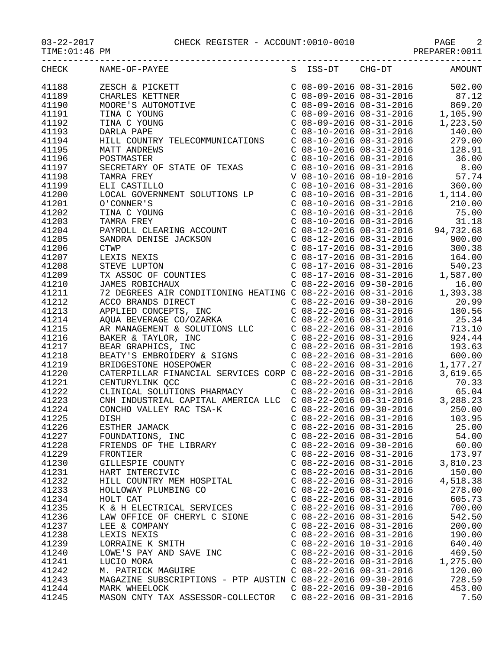## 03-22-2017 CHECK REGISTER - ACCOUNT:0010-0010 PAGE 2

| TIME: 01:46 PM |                                                                                                                                                                                                                                      |                           |                                                                                                                                                                                                                                                    |
|----------------|--------------------------------------------------------------------------------------------------------------------------------------------------------------------------------------------------------------------------------------|---------------------------|----------------------------------------------------------------------------------------------------------------------------------------------------------------------------------------------------------------------------------------------------|
| CHECK          | NAME-OF-PAYEE                                                                                                                                                                                                                        | S ISS-DT CHG-DT           | <b>AMOUNT</b>                                                                                                                                                                                                                                      |
| 41188          | ZESCH & PICKETT<br>CHARLES KETTNER<br>MOORE'S AUTOMOTIVE<br>TINA C YOUNG<br>TINA C YOUNG<br>DARLA PAPE                                                                                                                               |                           | $\begin{tabular}{lllllllllll} $\text{C} & 08-09-2016 & 08-31-2016 & & 502.00 \\ $\text{C} & 08-09-2016 & 08-31-2016 & & 87.12 \\ $\text{C} & 08-09-2016 & 08-31-2016 & & 869.20 \\ $\text{C} & 08-09-2016 & 08-31-2016 & & 1,105.90 \end{tabular}$ |
| 41189          |                                                                                                                                                                                                                                      |                           |                                                                                                                                                                                                                                                    |
| 41190          |                                                                                                                                                                                                                                      |                           |                                                                                                                                                                                                                                                    |
| 41191          |                                                                                                                                                                                                                                      |                           |                                                                                                                                                                                                                                                    |
| 41192          |                                                                                                                                                                                                                                      |                           | $C$ 08-09-2016 08-31-2016 1,223.50                                                                                                                                                                                                                 |
| 41193          | DARLA PAPE                                                                                                                                                                                                                           |                           |                                                                                                                                                                                                                                                    |
| 41194          | HILL COUNTRY TELECOMMUNICATIONS                                                                                                                                                                                                      |                           |                                                                                                                                                                                                                                                    |
| 41195          | MATT ANDREWS                                                                                                                                                                                                                         |                           |                                                                                                                                                                                                                                                    |
| 41196          | POSTMASTER                                                                                                                                                                                                                           |                           |                                                                                                                                                                                                                                                    |
| 41197          | POSTMASTER<br>SECRETARY OF STATE OF TEXAS                                                                                                                                                                                            |                           | C 08-10-2016 08-31-2016<br>C 08-10-2016 08-31-2016<br>C 08-10-2016 08-31-2016<br>C 08-10-2016 08-31-2016<br>C 08-10-2016 08-31-2016<br>C 08-10-2016 08-31-2016<br>C 08-10-2016 08-31-2016<br>C 08-10-2016 08-31-2016                               |
| 41198          |                                                                                                                                                                                                                                      |                           |                                                                                                                                                                                                                                                    |
| 41199          |                                                                                                                                                                                                                                      |                           |                                                                                                                                                                                                                                                    |
| 41200          |                                                                                                                                                                                                                                      |                           |                                                                                                                                                                                                                                                    |
| 41201          |                                                                                                                                                                                                                                      |                           |                                                                                                                                                                                                                                                    |
| 41202          |                                                                                                                                                                                                                                      |                           |                                                                                                                                                                                                                                                    |
| 41203          |                                                                                                                                                                                                                                      |                           |                                                                                                                                                                                                                                                    |
| 41204          |                                                                                                                                                                                                                                      |                           |                                                                                                                                                                                                                                                    |
| 41205          |                                                                                                                                                                                                                                      |                           |                                                                                                                                                                                                                                                    |
| 41206          |                                                                                                                                                                                                                                      |                           |                                                                                                                                                                                                                                                    |
| 41207          |                                                                                                                                                                                                                                      |                           |                                                                                                                                                                                                                                                    |
| 41208          |                                                                                                                                                                                                                                      |                           |                                                                                                                                                                                                                                                    |
| 41209          |                                                                                                                                                                                                                                      |                           |                                                                                                                                                                                                                                                    |
| 41210          |                                                                                                                                                                                                                                      |                           |                                                                                                                                                                                                                                                    |
| 41211          |                                                                                                                                                                                                                                      |                           |                                                                                                                                                                                                                                                    |
| 41212          |                                                                                                                                                                                                                                      |                           |                                                                                                                                                                                                                                                    |
| 41213          |                                                                                                                                                                                                                                      |                           |                                                                                                                                                                                                                                                    |
| 41214          |                                                                                                                                                                                                                                      |                           |                                                                                                                                                                                                                                                    |
| 41215          |                                                                                                                                                                                                                                      |                           |                                                                                                                                                                                                                                                    |
| 41216          |                                                                                                                                                                                                                                      |                           |                                                                                                                                                                                                                                                    |
| 41217          |                                                                                                                                                                                                                                      |                           |                                                                                                                                                                                                                                                    |
| 41218          |                                                                                                                                                                                                                                      |                           |                                                                                                                                                                                                                                                    |
| 41219          |                                                                                                                                                                                                                                      |                           |                                                                                                                                                                                                                                                    |
| 41220          |                                                                                                                                                                                                                                      |                           |                                                                                                                                                                                                                                                    |
| 41221          | CATERPILLAR FINANCIAL SERVICES CORP C 08-22-2016 08-31-2016 3,619.65<br>CENTURYLINK QCC C 08-22-2016 08-31-2016 70.33<br>CLINICAL SOLUTIONS PHARMACY C 08-22-2016 08-31-2016 65.04<br>CNH INDUSTRIAL CAPITAL AMERICA LLC C 08-22-201 |                           |                                                                                                                                                                                                                                                    |
| 41222          |                                                                                                                                                                                                                                      |                           |                                                                                                                                                                                                                                                    |
| 41223          |                                                                                                                                                                                                                                      |                           |                                                                                                                                                                                                                                                    |
| 41224          | CONCHO VALLEY RAC TSA-K                                                                                                                                                                                                              | $C$ 08-22-2016 09-30-2016 | 250.00                                                                                                                                                                                                                                             |
| 41225          | DISH                                                                                                                                                                                                                                 | $C$ 08-22-2016 08-31-2016 | 103.95                                                                                                                                                                                                                                             |
| 41226          | ESTHER JAMACK                                                                                                                                                                                                                        | $C$ 08-22-2016 08-31-2016 | 25.00                                                                                                                                                                                                                                              |
| 41227          |                                                                                                                                                                                                                                      | $C$ 08-22-2016 08-31-2016 | 54.00                                                                                                                                                                                                                                              |
| 41228          | FRIENDS OF THE LIBRARY<br>FRIENDS OF THE LIBRARY<br>FRONTIER                                                                                                                                                                         | $C$ 08-22-2016 09-30-2016 | 60.00                                                                                                                                                                                                                                              |
| 41229          |                                                                                                                                                                                                                                      | $C$ 08-22-2016 08-31-2016 | 173.97                                                                                                                                                                                                                                             |
| 41230          | GILLESPIE COUNTY                                                                                                                                                                                                                     | $C$ 08-22-2016 08-31-2016 | 3,810.23                                                                                                                                                                                                                                           |
| 41231          | HART INTERCIVIC                                                                                                                                                                                                                      | $C$ 08-22-2016 08-31-2016 | 150.00                                                                                                                                                                                                                                             |
| 41232          | HILL COUNTRY MEM HOSPITAL                                                                                                                                                                                                            | $C$ 08-22-2016 08-31-2016 | 4,518.38                                                                                                                                                                                                                                           |
| 41233          | HOLLOWAY PLUMBING CO                                                                                                                                                                                                                 | $C$ 08-22-2016 08-31-2016 | 278.00                                                                                                                                                                                                                                             |
| 41234          | HOLT CAT                                                                                                                                                                                                                             | $C$ 08-22-2016 08-31-2016 | 605.73                                                                                                                                                                                                                                             |
| 41235          | K & H ELECTRICAL SERVICES                                                                                                                                                                                                            | $C$ 08-22-2016 08-31-2016 | 700.00                                                                                                                                                                                                                                             |
| 41236          | LAW OFFICE OF CHERYL C SIONE                                                                                                                                                                                                         | $C$ 08-22-2016 08-31-2016 | 542.50                                                                                                                                                                                                                                             |
| 41237          | LEE & COMPANY                                                                                                                                                                                                                        | $C$ 08-22-2016 08-31-2016 | 200.00                                                                                                                                                                                                                                             |
| 41238          | LEXIS NEXIS                                                                                                                                                                                                                          | $C$ 08-22-2016 08-31-2016 | 190.00                                                                                                                                                                                                                                             |
| 41239          | LORRAINE K SMITH                                                                                                                                                                                                                     | $C$ 08-22-2016 10-31-2016 | 640.40                                                                                                                                                                                                                                             |
| 41240          | LOWE'S PAY AND SAVE INC                                                                                                                                                                                                              | $C$ 08-22-2016 08-31-2016 | 469.50                                                                                                                                                                                                                                             |
| 41241          | LUCIO MORA                                                                                                                                                                                                                           | $C$ 08-22-2016 08-31-2016 | 1,275.00                                                                                                                                                                                                                                           |
| 41242          | M. PATRICK MAGUIRE                                                                                                                                                                                                                   | $C$ 08-22-2016 08-31-2016 | 120.00                                                                                                                                                                                                                                             |
| 41243          | MAGAZINE SUBSCRIPTIONS - PTP AUSTIN C 08-22-2016 09-30-2016                                                                                                                                                                          |                           | 728.59                                                                                                                                                                                                                                             |
| 41244          | MARK WHEELOCK                                                                                                                                                                                                                        | $C$ 08-22-2016 09-30-2016 | 453.00                                                                                                                                                                                                                                             |
| 41245          | MASON CNTY TAX ASSESSOR-COLLECTOR  C 08-22-2016 08-31-2016                                                                                                                                                                           |                           | 7.50                                                                                                                                                                                                                                               |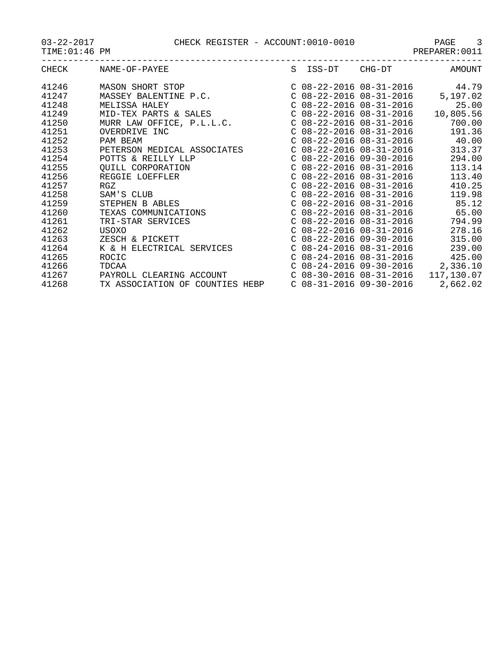03-22-2017 CHECK REGISTER - ACCOUNT:0010-0010 PAGE 3

TIME:01:46 PM PREPARER:0011

| CHECK | NAME-OF-PAYEE                              |  | S ISS-DT CHG-DT           | AMOUNT                                |
|-------|--------------------------------------------|--|---------------------------|---------------------------------------|
| 41246 | MASON SHORT STOP                           |  |                           | C $08-22-2016$ $08-31-2016$ 44.79     |
| 41247 | MASSEY BALENTINE P.C.                      |  |                           | C $08-22-2016$ $08-31-2016$ 5, 197.02 |
| 41248 |                                            |  | $C$ 08-22-2016 08-31-2016 | 25.00                                 |
| 41249 | MELISSA HALEY<br>MID-TEX PARTS & SALES<br> |  | C 08-22-2016 08-31-2016   | 10,805.56                             |
| 41250 | MURR LAW OFFICE, P.L.L.C.                  |  | C 08-22-2016 08-31-2016   | 700.00                                |
| 41251 | OVERDRIVE INC                              |  | $C$ 08-22-2016 08-31-2016 | 191.36                                |
| 41252 | PAM BEAM                                   |  |                           | $C$ 08-22-2016 08-31-2016 40.00       |
| 41253 | PETERSON MEDICAL ASSOCIATES                |  | $C$ 08-22-2016 08-31-2016 | 313.37                                |
| 41254 | POTTS & REILLY LLP                         |  | $C$ 08-22-2016 09-30-2016 | 294.00                                |
| 41255 | QUILL CORPORATION                          |  | $C$ 08-22-2016 08-31-2016 | 113.14                                |
| 41256 | REGGIE LOEFFLER                            |  | $C$ 08-22-2016 08-31-2016 | 113.40                                |
| 41257 | RGZ                                        |  | $C$ 08-22-2016 08-31-2016 | 410.25                                |
| 41258 | SAM'S CLUB                                 |  | $C$ 08-22-2016 08-31-2016 | 119.98                                |
| 41259 | STEPHEN B ABLES                            |  |                           | $C$ 08-22-2016 08-31-2016 85.12       |
| 41260 | TEXAS COMMUNICATIONS                       |  |                           | $C$ 08-22-2016 08-31-2016 65.00       |
| 41261 | TRI-STAR SERVICES                          |  | C 08-22-2016 08-31-2016   | 794.99                                |
| 41262 | USOXO                                      |  | $C$ 08-22-2016 08-31-2016 | 278.16                                |
| 41263 | ZESCH & PICKETT                            |  | $C$ 08-22-2016 09-30-2016 | 315.00                                |
| 41264 | K & H ELECTRICAL SERVICES                  |  | $C$ 08-24-2016 08-31-2016 | 239.00                                |
| 41265 | ROCIC                                      |  | $C$ 08-24-2016 08-31-2016 | 425.00                                |
| 41266 | TDCAA                                      |  | $C$ 08-24-2016 09-30-2016 | 2,336.10                              |
| 41267 | PAYROLL CLEARING ACCOUNT                   |  |                           | C 08-30-2016 08-31-2016 117,130.07    |
| 41268 | TX ASSOCIATION OF COUNTIES HEBP            |  | C 08-31-2016 09-30-2016   | 2,662.02                              |